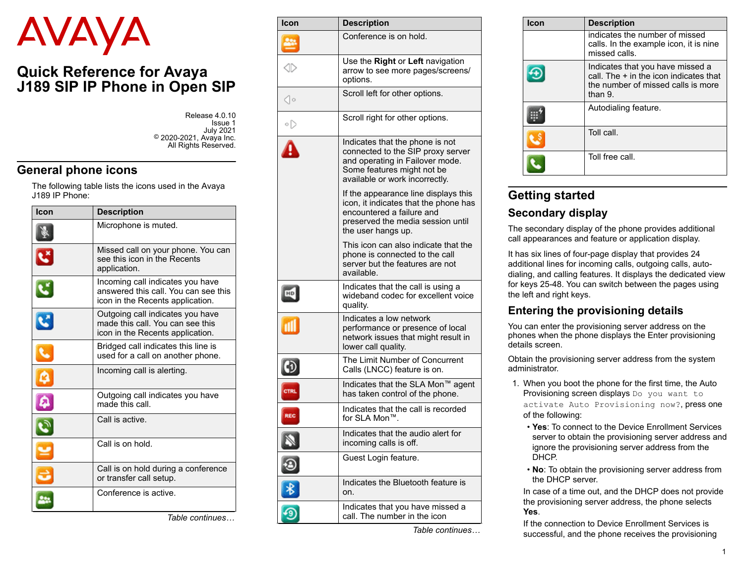# AVAYA

# **Quick Reference for Avaya J189 SIP IP Phone in Open SIP**

| Release 4.0.10          |
|-------------------------|
| Issue 1                 |
| <b>July 2021</b>        |
| © 2020-2021, Avaya Inc. |
| All Rights Reserved.    |

# **General phone icons**

The following table lists the icons used in the Avaya J189 IP Phone:

| Icon                    | <b>Description</b>                                                                                           |  |  |  |
|-------------------------|--------------------------------------------------------------------------------------------------------------|--|--|--|
|                         | Microphone is muted.                                                                                         |  |  |  |
| $\overline{\mathbf{c}}$ | Missed call on your phone. You can<br>see this icon in the Recents<br>application.                           |  |  |  |
|                         | Incoming call indicates you have<br>answered this call. You can see this<br>icon in the Recents application. |  |  |  |
| $\overline{\mathbf{c}}$ | Outgoing call indicates you have<br>made this call. You can see this<br>icon in the Recents application.     |  |  |  |
|                         | Bridged call indicates this line is<br>used for a call on another phone.                                     |  |  |  |
|                         | Incoming call is alerting.                                                                                   |  |  |  |
| يعا                     | Outgoing call indicates you have<br>made this call.                                                          |  |  |  |
|                         | Call is active.                                                                                              |  |  |  |
|                         | Call is on hold.                                                                                             |  |  |  |
|                         | Call is on hold during a conference<br>or transfer call setup.                                               |  |  |  |
|                         | Conference is active.                                                                                        |  |  |  |

*Table continues…*

| Icon            | <b>Description</b>                                                                                                                                                      |  |  |  |  |
|-----------------|-------------------------------------------------------------------------------------------------------------------------------------------------------------------------|--|--|--|--|
|                 | Conference is on hold.                                                                                                                                                  |  |  |  |  |
|                 | Use the Right or Left navigation<br>arrow to see more pages/screens/<br>options.                                                                                        |  |  |  |  |
| $\triangleleft$ | Scroll left for other options.                                                                                                                                          |  |  |  |  |
| ∘▷              | Scroll right for other options.                                                                                                                                         |  |  |  |  |
|                 | Indicates that the phone is not<br>connected to the SIP proxy server<br>and operating in Failover mode.<br>Some features might not be<br>available or work incorrectly. |  |  |  |  |
|                 | If the appearance line displays this<br>icon, it indicates that the phone has<br>encountered a failure and<br>preserved the media session until<br>the user hangs up.   |  |  |  |  |
|                 | This icon can also indicate that the<br>phone is connected to the call<br>server but the features are not<br>available.                                                 |  |  |  |  |
| 뿐               | Indicates that the call is using a<br>wideband codec for excellent voice<br>quality.                                                                                    |  |  |  |  |
| пI              | Indicates a low network<br>performance or presence of local<br>network issues that might result in<br>lower call quality.                                               |  |  |  |  |
|                 | The Limit Number of Concurrent<br>Calls (LNCC) feature is on.                                                                                                           |  |  |  |  |
|                 | Indicates that the SLA Mon™ agent<br>has taken control of the phone.                                                                                                    |  |  |  |  |
| REC             | Indicates that the call is recorded<br>for SLA Mon™.                                                                                                                    |  |  |  |  |
|                 | Indicates that the audio alert for<br>incoming calls is off.                                                                                                            |  |  |  |  |
|                 | Guest Login feature.                                                                                                                                                    |  |  |  |  |
|                 | Indicates the Bluetooth feature is<br>on.                                                                                                                               |  |  |  |  |
|                 | Indicates that you have missed a<br>call. The number in the icon                                                                                                        |  |  |  |  |

*Table continues…*

| <b>Icon</b> | <b>Description</b>                                                                                                            |
|-------------|-------------------------------------------------------------------------------------------------------------------------------|
|             | indicates the number of missed<br>calls. In the example icon, it is nine<br>missed calls                                      |
|             | Indicates that you have missed a<br>call. The + in the icon indicates that<br>the number of missed calls is more<br>than $91$ |
|             | Autodialing feature.                                                                                                          |
|             | Toll call.                                                                                                                    |
|             | Toll free call.                                                                                                               |

# **Getting started**

# **Secondary display**

The secondary display of the phone provides additional call appearances and feature or application display.

It has six lines of four-page display that provides 24 additional lines for incoming calls, outgoing calls, autodialing, and calling features. It displays the dedicated view for keys 25-48. You can switch between the pages using the left and right keys.

# **Entering the provisioning details**

You can enter the provisioning server address on the phones when the phone displays the Enter provisioning details screen.

Obtain the provisioning server address from the system administrator.

- 1. When you boot the phone for the first time, the Auto Provisioning screen displays Do you want to activate Auto Provisioning now?, press one of the following:
	- **Yes**: To connect to the Device Enrollment Services server to obtain the provisioning server address and ignore the provisioning server address from the DHCP.
	- **No**: To obtain the provisioning server address from the DHCP server.

In case of a time out, and the DHCP does not provide the provisioning server address, the phone selects **Yes**.

If the connection to Device Enrollment Services is successful, and the phone receives the provisioning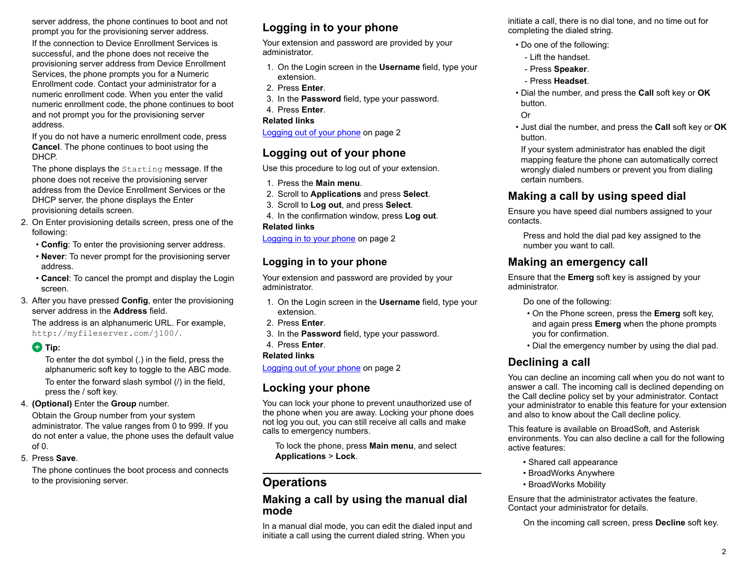server address, the phone continues to boot and not prompt you for the provisioning server address.

If the connection to Device Enrollment Services is successful, and the phone does not receive the provisioning server address from Device Enrollment Services, the phone prompts you for a Numeric Enrollment code. Contact your administrator for a numeric enrollment code. When you enter the valid numeric enrollment code, the phone continues to boot and not prompt you for the provisioning server address.

If you do not have a numeric enrollment code, press **Cancel**. The phone continues to boot using the DHCP.

The phone displays the Starting message. If the phone does not receive the provisioning server address from the Device Enrollment Services or the DHCP server, the phone displays the Enter provisioning details screen.

- 2. On Enter provisioning details screen, press one of the following:
	- **Config**: To enter the provisioning server address.
	- **Never**: To never prompt for the provisioning server address.
	- **Cancel**: To cancel the prompt and display the Login screen.
- 3. After you have pressed **Config**, enter the provisioning server address in the **Address** field.

The address is an alphanumeric URL. For example, http://myfileserver.com/j100/.

#### **D** Tip:

To enter the dot symbol (.) in the field, press the alphanumeric soft key to toggle to the ABC mode. To enter the forward slash symbol (/) in the field, press the / soft key.

4. **(Optional)** Enter the **Group** number.

Obtain the Group number from your system administrator. The value ranges from 0 to 999. If you do not enter a value, the phone uses the default value  $of  $0$$ 

5. Press **Save**.

The phone continues the boot process and connects to the provisioning server.

# **Logging in to your phone**

Your extension and password are provided by your administrator.

- 1. On the Login screen in the **Username** field, type your extension.
- 2. Press **Enter**.
- 3. In the **Password** field, type your password.
- 4. Press **Enter**.

#### **Related links**

Logging out of your phone on page 2

# **Logging out of your phone**

Use this procedure to log out of your extension.

- 1. Press the **Main menu**.
- 2. Scroll to **Applications** and press **Select**.
- 3. Scroll to **Log out**, and press **Select**.
- 4. In the confirmation window, press **Log out**. **Related links**

Logging in to your phone on page 2

# **Logging in to your phone**

Your extension and password are provided by your administrator.

- 1. On the Login screen in the **Username** field, type your extension.
- 2. Press **Enter**.
- 3. In the **Password** field, type your password.

# 4. Press **Enter**.

#### **Related links**

Logging out of your phone on page 2

# **Locking your phone**

You can lock your phone to prevent unauthorized use of the phone when you are away. Locking your phone does not log you out, you can still receive all calls and make calls to emergency numbers.

To lock the phone, press **Main menu**, and select **Applications** > **Lock**.

# **Operations**

#### **Making a call by using the manual dial mode**

In a manual dial mode, you can edit the dialed input and initiate a call using the current dialed string. When you

initiate a call, there is no dial tone, and no time out for completing the dialed string.

- Do one of the following:
- Lift the handset.
- Press **Speaker**.
- Press **Headset**.
- Dial the number, and press the **Call** soft key or **OK** button.
- Or
- Just dial the number, and press the **Call** soft key or **OK** button.

If your system administrator has enabled the digit mapping feature the phone can automatically correct wrongly dialed numbers or prevent you from dialing certain numbers.

# **Making a call by using speed dial**

Ensure you have speed dial numbers assigned to your contacts.

Press and hold the dial pad key assigned to the number you want to call.

# **Making an emergency call**

Ensure that the **Emerg** soft key is assigned by your administrator.

Do one of the following:

- On the Phone screen, press the **Emerg** soft key, and again press **Emerg** when the phone prompts you for confirmation.
- Dial the emergency number by using the dial pad.

# **Declining a call**

You can decline an incoming call when you do not want to answer a call. The incoming call is declined depending on the Call decline policy set by your administrator. Contact your administrator to enable this feature for your extension and also to know about the Call decline policy.

This feature is available on BroadSoft, and Asterisk environments. You can also decline a call for the following active features:

- Shared call appearance
- BroadWorks Anywhere
- BroadWorks Mobility

Ensure that the administrator activates the feature. Contact your administrator for details.

On the incoming call screen, press **Decline** soft key.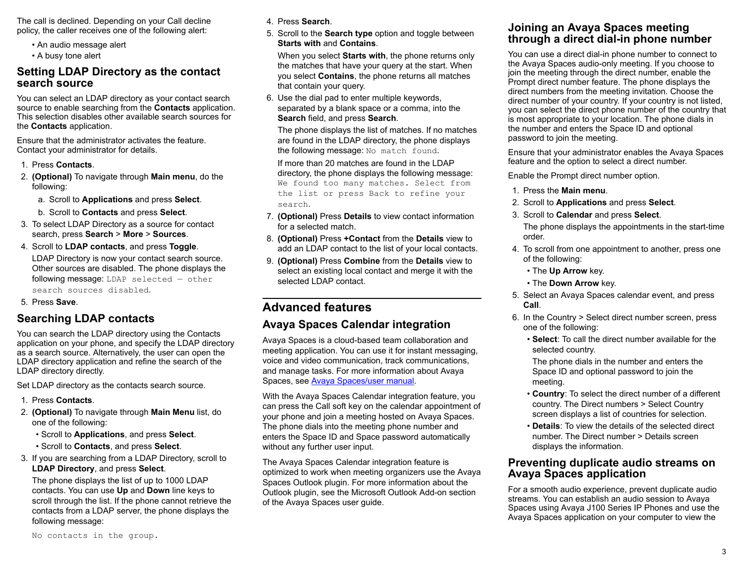The call is declined. Depending on your Call decline policy, the caller receives one of the following alert:

- An audio message alert
- A busy tone alert

## **Setting LDAP Directory as the contact search source**

You can select an LDAP directory as your contact search source to enable searching from the **Contacts** application. This selection disables other available search sources for the **Contacts** application.

Ensure that the administrator activates the feature. Contact your administrator for details.

- 1. Press **Contacts**.
- 2. **(Optional)** To navigate through **Main menu**, do the following:
	- a. Scroll to **Applications** and press **Select**.
	- b. Scroll to **Contacts** and press **Select**.
- 3. To select LDAP Directory as a source for contact search, press **Search** > **More** > **Sources**.
- 4. Scroll to **LDAP contacts**, and press **Toggle**. LDAP Directory is now your contact search source. Other sources are disabled. The phone displays the following message: LDAP selected — other search sources disabled.
- 5. Press **Save**.

# **Searching LDAP contacts**

You can search the LDAP directory using the Contacts application on your phone, and specify the LDAP directory as a search source. Alternatively, the user can open the LDAP directory application and refine the search of the LDAP directory directly.

Set LDAP directory as the contacts search source.

- 1. Press **Contacts**.
- 2. **(Optional)** To navigate through **Main Menu** list, do one of the following:
	- Scroll to **Applications**, and press **Select**.
	- Scroll to **Contacts**, and press **Select**.
- 3. If you are searching from a LDAP Directory, scroll to **LDAP Directory**, and press **Select**.

The phone displays the list of up to 1000 LDAP contacts. You can use **Up** and **Down** line keys to scroll through the list. If the phone cannot retrieve the contacts from a LDAP server, the phone displays the following message:

4. Press **Search**.

5. Scroll to the **Search type** option and toggle between **Starts with** and **Contains**.

When you select **Starts with**, the phone returns only the matches that have your query at the start. When you select **Contains**, the phone returns all matches that contain your query.

6. Use the dial pad to enter multiple keywords, separated by a blank space or a comma, into the **Search** field, and press **Search**.

The phone displays the list of matches. If no matches are found in the LDAP directory, the phone displays the following message: No match found.

If more than 20 matches are found in the LDAP directory, the phone displays the following message: We found too many matches. Select from the list or press Back to refine your search.

- 7. **(Optional)** Press **Details** to view contact information for a selected match.
- 8. **(Optional)** Press **+Contact** from the **Details** view to add an LDAP contact to the list of your local contacts.
- 9. **(Optional)** Press **Combine** from the **Details** view to select an existing local contact and merge it with the selected LDAP contact.

# **Advanced features**

# **Avaya Spaces Calendar integration**

Avaya Spaces is a cloud-based team collaboration and meeting application. You can use it for instant messaging, voice and video communication, track communications, and manage tasks. For more information about Avaya Spaces, see [Avaya Spaces/user manual.](https://content.avayacloud.com/Spaces/PDF/Avaya_Spaces_Manual.pdf)

With the Avaya Spaces Calendar integration feature, you can press the Call soft key on the calendar appointment of your phone and join a meeting hosted on Avaya Spaces. The phone dials into the meeting phone number and enters the Space ID and Space password automatically without any further user input.

The Avaya Spaces Calendar integration feature is optimized to work when meeting organizers use the Avaya Spaces Outlook plugin. For more information about the Outlook plugin, see the Microsoft Outlook Add-on section of the Avaya Spaces user guide.

## **Joining an Avaya Spaces meeting through a direct dial-in phone number**

You can use a direct dial-in phone number to connect to the Avaya Spaces audio-only meeting. If you choose to join the meeting through the direct number, enable the Prompt direct number feature. The phone displays the direct numbers from the meeting invitation. Choose the direct number of your country. If your country is not listed, you can select the direct phone number of the country that is most appropriate to your location. The phone dials in the number and enters the Space ID and optional password to join the meeting.

Ensure that your administrator enables the Avaya Spaces feature and the option to select a direct number.

Enable the Prompt direct number option.

- 1. Press the **Main menu**.
- 2. Scroll to **Applications** and press **Select**.
- 3. Scroll to **Calendar** and press **Select**.

The phone displays the appointments in the start-time order.

- 4. To scroll from one appointment to another, press one of the following:
	- The **Up Arrow** key.
	- The **Down Arrow** key.
- 5. Select an Avaya Spaces calendar event, and press **Call**.
- 6. In the Country > Select direct number screen, press one of the following:
	- **Select**: To call the direct number available for the selected country.

The phone dials in the number and enters the Space ID and optional password to join the meeting.

- **Country**: To select the direct number of a different country. The Direct numbers > Select Country screen displays a list of countries for selection.
- **Details**: To view the details of the selected direct number. The Direct number > Details screen displays the information.

## **Preventing duplicate audio streams on Avaya Spaces application**

For a smooth audio experience, prevent duplicate audio streams. You can establish an audio session to Avaya Spaces using Avaya J100 Series IP Phones and use the Avaya Spaces application on your computer to view the

No contacts in the group.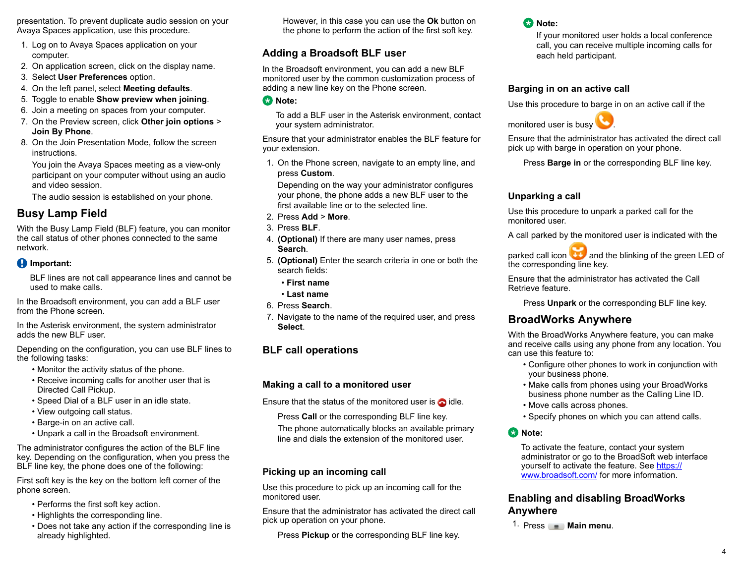presentation. To prevent duplicate audio session on your Avaya Spaces application, use this procedure.

- 1. Log on to Avaya Spaces application on your computer.
- 2. On application screen, click on the display name.
- 3. Select **User Preferences** option.
- 4. On the left panel, select **Meeting defaults**.
- 5. Toggle to enable **Show preview when joining**.
- 6. Join a meeting on spaces from your computer.
- 7. On the Preview screen, click **Other join options** > **Join By Phone**.
- 8. On the Join Presentation Mode, follow the screen **instructions**

You join the Avaya Spaces meeting as a view-only participant on your computer without using an audio and video session.

The audio session is established on your phone.

# **Busy Lamp Field**

With the Busy Lamp Field (BLF) feature, you can monitor the call status of other phones connected to the same network.

#### *Important:*

BLF lines are not call appearance lines and cannot be used to make calls.

In the Broadsoft environment, you can add a BLF user from the Phone screen.

In the Asterisk environment, the system administrator adds the new BLF user.

Depending on the configuration, you can use BLF lines to the following tasks:

- Monitor the activity status of the phone.
- Receive incoming calls for another user that is Directed Call Pickup.
- Speed Dial of a BLF user in an idle state.
- View outgoing call status.
- Barge-in on an active call.
- Unpark a call in the Broadsoft environment.

The administrator configures the action of the BLF line key. Depending on the configuration, when you press the BLF line key, the phone does one of the following:

First soft key is the key on the bottom left corner of the phone screen.

- Performs the first soft key action.
- Highlights the corresponding line.
- Does not take any action if the corresponding line is already highlighted.

However, in this case you can use the **Ok** button on the phone to perform the action of the first soft key.

# **Adding a Broadsoft BLF user**

In the Broadsoft environment, you can add a new BLF monitored user by the common customization process of adding a new line key on the Phone screen.

**Note:**

To add a BLF user in the Asterisk environment, contact your system administrator.

Ensure that your administrator enables the BLF feature for your extension.

1. On the Phone screen, navigate to an empty line, and press **Custom**.

Depending on the way your administrator configures your phone, the phone adds a new BLF user to the first available line or to the selected line.

- 2. Press **Add** > **More**.
- 3. Press **BLF**.
- 4. **(Optional)** If there are many user names, press **Search**.
- 5. **(Optional)** Enter the search criteria in one or both the search fields:
	- **First name**
	- **Last name**
- 6. Press **Search**.
- 7. Navigate to the name of the required user, and press **Select**.

# **BLF call operations**

#### **Making a call to a monitored user**

Ensure that the status of the monitored user is  $\bigcirc$  idle.

Press **Call** or the corresponding BLF line key.

The phone automatically blocks an available primary line and dials the extension of the monitored user.

#### **Picking up an incoming call**

Use this procedure to pick up an incoming call for the monitored user.

Ensure that the administrator has activated the direct call pick up operation on your phone.

Press **Pickup** or the corresponding BLF line key.

# **C<sub>3</sub>** Note:

If your monitored user holds a local conference call, you can receive multiple incoming calls for each held participant.

#### **Barging in on an active call**

Use this procedure to barge in on an active call if the



Ensure that the administrator has activated the direct call pick up with barge in operation on your phone.

Press **Barge in** or the corresponding BLF line key.

#### **Unparking a call**

Use this procedure to unpark a parked call for the monitored user.

A call parked by the monitored user is indicated with the

parked call icon and the blinking of the green LED of the corresponding line key.

Ensure that the administrator has activated the Call Retrieve feature.

Press **Unpark** or the corresponding BLF line key.

# **BroadWorks Anywhere**

With the BroadWorks Anywhere feature, you can make and receive calls using any phone from any location. You can use this feature to:

- Configure other phones to work in conjunction with your business phone.
- Make calls from phones using your BroadWorks business phone number as the Calling Line ID.
- Move calls across phones.
- Specify phones on which you can attend calls.

#### **Note:**

To activate the feature, contact your system administrator or go to the BroadSoft web interface yourself to activate the feature. See [https://](https://www.broadsoft.com/) [www.broadsoft.com/](https://www.broadsoft.com/) for more information.

#### **Enabling and disabling BroadWorks Anywhere**

1. Press  $\equiv$  **Main menu.**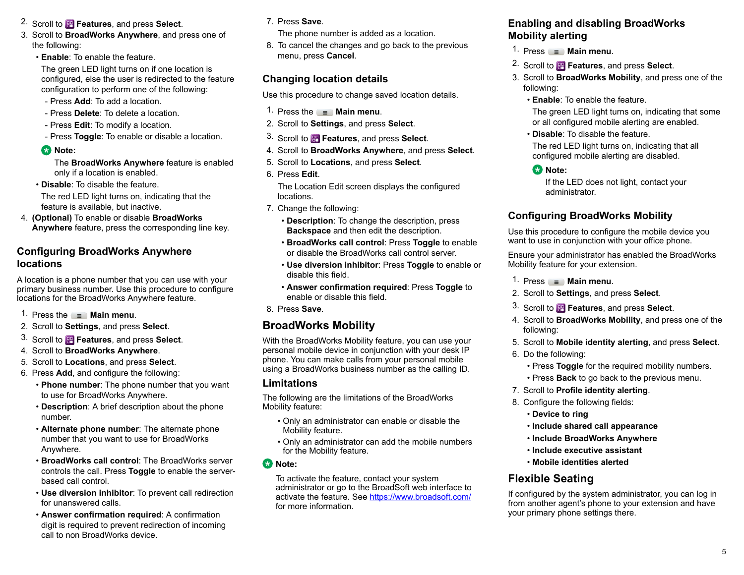- 2. Scroll to **Features**, and press **Select**.
- 3. Scroll to **BroadWorks Anywhere**, and press one of the following:
	- **Enable**: To enable the feature.

The green LED light turns on if one location is configured, else the user is redirected to the feature configuration to perform one of the following:

- Press **Add**: To add a location.
- Press **Delete**: To delete a location.
- Press **Edit**: To modify a location.
- Press **Toggle**: To enable or disable a location.

#### **E** Note:

The **BroadWorks Anywhere** feature is enabled only if a location is enabled.

• **Disable**: To disable the feature.

The red LED light turns on, indicating that the feature is available, but inactive.

4. **(Optional)** To enable or disable **BroadWorks Anywhere** feature, press the corresponding line key.

## **Configuring BroadWorks Anywhere locations**

A location is a phone number that you can use with your primary business number. Use this procedure to configure locations for the BroadWorks Anywhere feature.

- 1. Press the  $\equiv$  **Main menu.**
- 2. Scroll to **Settings**, and press **Select**.
- 3. Scroll to **Features**, and press **Select**.
- 4. Scroll to **BroadWorks Anywhere**.
- 5. Scroll to **Locations**, and press **Select**.
- 6. Press **Add**, and configure the following:
	- **Phone number**: The phone number that you want to use for BroadWorks Anywhere.
	- **Description**: A brief description about the phone number.
	- **Alternate phone number**: The alternate phone number that you want to use for BroadWorks Anywhere.
	- **BroadWorks call control**: The BroadWorks server controls the call. Press **Toggle** to enable the serverbased call control.
	- **Use diversion inhibitor**: To prevent call redirection for unanswered calls.
	- **Answer confirmation required**: A confirmation digit is required to prevent redirection of incoming call to non BroadWorks device.

#### 7. Press **Save**.

- The phone number is added as a location.
- 8. To cancel the changes and go back to the previous menu, press **Cancel**.

## **Changing location details**

Use this procedure to change saved location details.

- 1. Press the  $\equiv$  **Main menu.**
- 2. Scroll to **Settings**, and press **Select**.
- 3. Scroll to **Features**, and press **Select**.
- 4. Scroll to **BroadWorks Anywhere**, and press **Select**.
- 5. Scroll to **Locations**, and press **Select**.
- 6. Press **Edit**.

The Location Edit screen displays the configured locations.

- 7. Change the following:
	- **Description**: To change the description, press **Backspace** and then edit the description.
	- **BroadWorks call control**: Press **Toggle** to enable or disable the BroadWorks call control server.
	- **Use diversion inhibitor**: Press **Toggle** to enable or disable this field.
	- **Answer confirmation required**: Press **Toggle** to enable or disable this field.
- 8. Press **Save**.

# **BroadWorks Mobility**

With the BroadWorks Mobility feature, you can use your personal mobile device in conjunction with your desk IP phone. You can make calls from your personal mobile using a BroadWorks business number as the calling ID.

#### **Limitations**

The following are the limitations of the BroadWorks Mobility feature:

- Only an administrator can enable or disable the Mobility feature.
- Only an administrator can add the mobile numbers for the Mobility feature.
- **CB** Note:

To activate the feature, contact your system administrator or go to the BroadSoft web interface to activate the feature. See <https://www.broadsoft.com/> for more information.

## **Enabling and disabling BroadWorks Mobility alerting**

- 1. Press  $\equiv$  **Main menu**.
- 2. Scroll to **Features**, and press **Select**.
- 3. Scroll to **BroadWorks Mobility**, and press one of the following:
	- **Enable**: To enable the feature.

The green LED light turns on, indicating that some or all configured mobile alerting are enabled.

• **Disable**: To disable the feature.

The red LED light turns on, indicating that all configured mobile alerting are disabled.

## **Note:**

If the LED does not light, contact your administrator.

## **Configuring BroadWorks Mobility**

Use this procedure to configure the mobile device you want to use in conjunction with your office phone.

Ensure your administrator has enabled the BroadWorks Mobility feature for your extension.

- 1. Press  $\equiv$  **Main menu.**
- 2. Scroll to **Settings**, and press **Select**.
- 3. Scroll to **Features**, and press **Select**.
- 4. Scroll to **BroadWorks Mobility**, and press one of the following:
- 5. Scroll to **Mobile identity alerting**, and press **Select**.
- 6. Do the following:
	- Press **Toggle** for the required mobility numbers.
	- Press **Back** to go back to the previous menu.
- 7. Scroll to **Profile identity alerting**.
- 8. Configure the following fields:
	- **Device to ring**
	- **Include shared call appearance**
	- **Include BroadWorks Anywhere**
	- **Include executive assistant**
	- **Mobile identities alerted**

# **Flexible Seating**

If configured by the system administrator, you can log in from another agent's phone to your extension and have your primary phone settings there.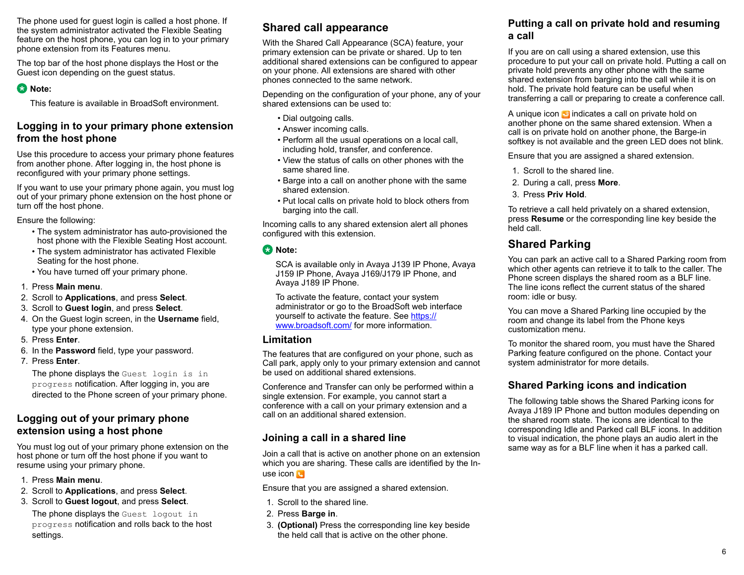The phone used for guest login is called a host phone. If the system administrator activated the Flexible Seating feature on the host phone, you can log in to your primary phone extension from its Features menu.

The top bar of the host phone displays the Host or the Guest icon depending on the guest status.

#### **Note:**

This feature is available in BroadSoft environment.

## **Logging in to your primary phone extension from the host phone**

Use this procedure to access your primary phone features from another phone. After logging in, the host phone is reconfigured with your primary phone settings.

If you want to use your primary phone again, you must log out of your primary phone extension on the host phone or turn off the host phone.

Ensure the following:

- The system administrator has auto-provisioned the host phone with the Flexible Seating Host account.
- The system administrator has activated Flexible Seating for the host phone.
- You have turned off your primary phone.
- 1. Press **Main menu**.
- 2. Scroll to **Applications**, and press **Select**.
- 3. Scroll to **Guest login**, and press **Select**.
- 4. On the Guest login screen, in the **Username** field, type your phone extension.
- 5. Press **Enter**.
- 6. In the **Password** field, type your password.
- 7. Press **Enter**.

The phone displays the Guest login is in progress notification. After logging in, you are directed to the Phone screen of your primary phone.

# **Logging out of your primary phone extension using a host phone**

You must log out of your primary phone extension on the host phone or turn off the host phone if you want to resume using your primary phone.

- 1. Press **Main menu**.
- 2. Scroll to **Applications**, and press **Select**.
- 3. Scroll to **Guest logout**, and press **Select**.

The phone displays the Guest logout in progress notification and rolls back to the host settings.

# **Shared call appearance**

With the Shared Call Appearance (SCA) feature, your primary extension can be private or shared. Up to ten additional shared extensions can be configured to appear on your phone. All extensions are shared with other phones connected to the same network.

Depending on the configuration of your phone, any of your shared extensions can be used to:

- Dial outgoing calls.
- Answer incoming calls.
- Perform all the usual operations on a local call, including hold, transfer, and conference.
- View the status of calls on other phones with the same shared line.
- Barge into a call on another phone with the same shared extension.
- Put local calls on private hold to block others from barging into the call.

Incoming calls to any shared extension alert all phones configured with this extension.

#### **B** Note:

SCA is available only in Avaya J139 IP Phone, Avaya J159 IP Phone, Avaya J169/J179 IP Phone, and Avaya J189 IP Phone.

To activate the feature, contact your system administrator or go to the BroadSoft web interface yourself to activate the feature. See [https://](https://www.broadsoft.com/) [www.broadsoft.com/](https://www.broadsoft.com/) for more information.

#### **Limitation**

The features that are configured on your phone, such as Call park, apply only to your primary extension and cannot be used on additional shared extensions.

Conference and Transfer can only be performed within a single extension. For example, you cannot start a conference with a call on your primary extension and a call on an additional shared extension.

# **Joining a call in a shared line**

Join a call that is active on another phone on an extension which you are sharing. These calls are identified by the Inuse icon **N** 

Ensure that you are assigned a shared extension.

- 1. Scroll to the shared line.
- 2. Press **Barge in**.
- 3. **(Optional)** Press the corresponding line key beside the held call that is active on the other phone.

## **Putting a call on private hold and resuming a call**

If you are on call using a shared extension, use this procedure to put your call on private hold. Putting a call on private hold prevents any other phone with the same shared extension from barging into the call while it is on hold. The private hold feature can be useful when transferring a call or preparing to create a conference call.

A unique icon  $\bullet$  indicates a call on private hold on another phone on the same shared extension. When a call is on private hold on another phone, the Barge-in softkey is not available and the green LED does not blink.

Ensure that you are assigned a shared extension.

- 1. Scroll to the shared line.
- 2. During a call, press **More**.
- 3. Press **Priv Hold**.

To retrieve a call held privately on a shared extension, press **Resume** or the corresponding line key beside the held call.

# **Shared Parking**

You can park an active call to a Shared Parking room from which other agents can retrieve it to talk to the caller. The Phone screen displays the shared room as a BLF line. The line icons reflect the current status of the shared room: idle or busy.

You can move a Shared Parking line occupied by the room and change its label from the Phone keys customization menu.

To monitor the shared room, you must have the Shared Parking feature configured on the phone. Contact your system administrator for more details.

# **Shared Parking icons and indication**

The following table shows the Shared Parking icons for Avaya J189 IP Phone and button modules depending on the shared room state. The icons are identical to the corresponding Idle and Parked call BLF icons. In addition to visual indication, the phone plays an audio alert in the same way as for a BLF line when it has a parked call.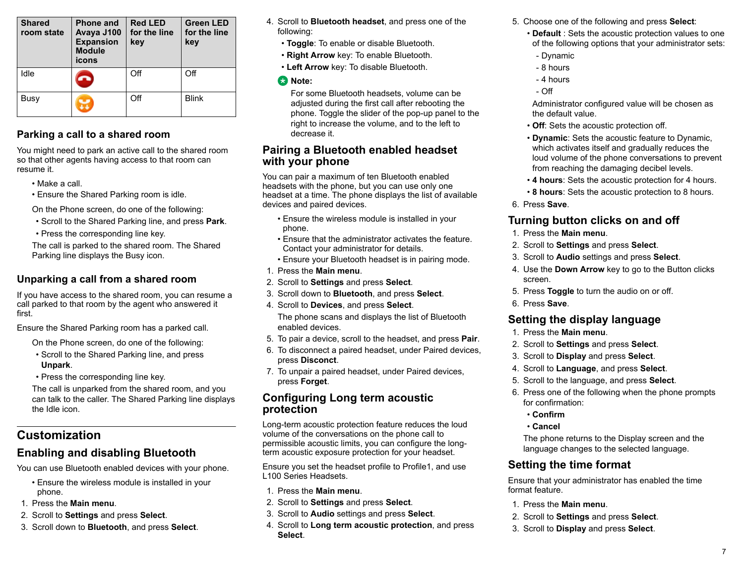| <b>Shared</b><br>room state | <b>Phone and</b><br>Avaya J100<br><b>Expansion</b><br><b>Module</b><br>icons | <b>Red LED</b><br>for the line<br>key | <b>Green LED</b><br>for the line<br>key |
|-----------------------------|------------------------------------------------------------------------------|---------------------------------------|-----------------------------------------|
| Idle                        |                                                                              | Off                                   | Off                                     |
| Busy                        |                                                                              | Off                                   | <b>Blink</b>                            |

# **Parking a call to a shared room**

You might need to park an active call to the shared room so that other agents having access to that room can resume it.

- Make a call.
- Ensure the Shared Parking room is idle.

On the Phone screen, do one of the following:

- Scroll to the Shared Parking line, and press **Park**.
- Press the corresponding line key.

The call is parked to the shared room. The Shared Parking line displays the Busy icon.

## **Unparking a call from a shared room**

If you have access to the shared room, you can resume a call parked to that room by the agent who answered it first.

Ensure the Shared Parking room has a parked call.

On the Phone screen, do one of the following:

- Scroll to the Shared Parking line, and press **Unpark**.
- Press the corresponding line key.

The call is unparked from the shared room, and you can talk to the caller. The Shared Parking line displays the Idle icon.

# **Customization**

# **Enabling and disabling Bluetooth**

You can use Bluetooth enabled devices with your phone.

- Ensure the wireless module is installed in your phone.
- 1. Press the **Main menu**.
- 2. Scroll to **Settings** and press **Select**.
- 3. Scroll down to **Bluetooth**, and press **Select**.
- 4. Scroll to **Bluetooth headset**, and press one of the following:
	- **Toggle**: To enable or disable Bluetooth.
	- **Right Arrow** key: To enable Bluetooth.
	- **Left Arrow** key: To disable Bluetooth.

#### **Note:**

For some Bluetooth headsets, volume can be adjusted during the first call after rebooting the phone. Toggle the slider of the pop-up panel to the right to increase the volume, and to the left to decrease it.

#### **Pairing a Bluetooth enabled headset with your phone**

You can pair a maximum of ten Bluetooth enabled headsets with the phone, but you can use only one headset at a time. The phone displays the list of available devices and paired devices.

- Ensure the wireless module is installed in your phone.
- Ensure that the administrator activates the feature. Contact your administrator for details.
- Ensure your Bluetooth headset is in pairing mode.
- 1. Press the **Main menu**.
- 2. Scroll to **Settings** and press **Select**.
- 3. Scroll down to **Bluetooth**, and press **Select**.
- 4. Scroll to **Devices**, and press **Select**. The phone scans and displays the list of Bluetooth enabled devices.
- 5. To pair a device, scroll to the headset, and press **Pair**.
- 6. To disconnect a paired headset, under Paired devices, press **Disconct**.
- 7. To unpair a paired headset, under Paired devices, press **Forget**.

## **Configuring Long term acoustic protection**

Long-term acoustic protection feature reduces the loud volume of the conversations on the phone call to permissible acoustic limits, you can configure the longterm acoustic exposure protection for your headset.

Ensure you set the headset profile to Profile1, and use L100 Series Headsets.

- 1. Press the **Main menu**.
- 2. Scroll to **Settings** and press **Select**.
- 3. Scroll to **Audio** settings and press **Select**.
- 4. Scroll to **Long term acoustic protection**, and press **Select**.
- 5. Choose one of the following and press **Select**:
	- **Default** : Sets the acoustic protection values to one of the following options that your administrator sets:
	- Dynamic
	- 8 hours
	- 4 hours
	- $-$  Off

Administrator configured value will be chosen as the default value.

- **Off**: Sets the acoustic protection off.
- **Dynamic**: Sets the acoustic feature to Dynamic, which activates itself and gradually reduces the loud volume of the phone conversations to prevent from reaching the damaging decibel levels.
- **4 hours**: Sets the acoustic protection for 4 hours.
- **8 hours**: Sets the acoustic protection to 8 hours.
- 6. Press **Save**.

# **Turning button clicks on and off**

- 1. Press the **Main menu**.
- 2. Scroll to **Settings** and press **Select**.
- 3. Scroll to **Audio** settings and press **Select**.
- 4. Use the **Down Arrow** key to go to the Button clicks screen.
- 5. Press **Toggle** to turn the audio on or off.
- 6. Press **Save**.

# **Setting the display language**

- 1. Press the **Main menu**.
- 2. Scroll to **Settings** and press **Select**.
- 3. Scroll to **Display** and press **Select**.
- 4. Scroll to **Language**, and press **Select**.
- 5. Scroll to the language, and press **Select**.
- 6. Press one of the following when the phone prompts for confirmation:
	- **Confirm**
	- **Cancel**

The phone returns to the Display screen and the language changes to the selected language.

# **Setting the time format**

Ensure that your administrator has enabled the time format feature.

- 1. Press the **Main menu**.
- 2. Scroll to **Settings** and press **Select**.
- 3. Scroll to **Display** and press **Select**.